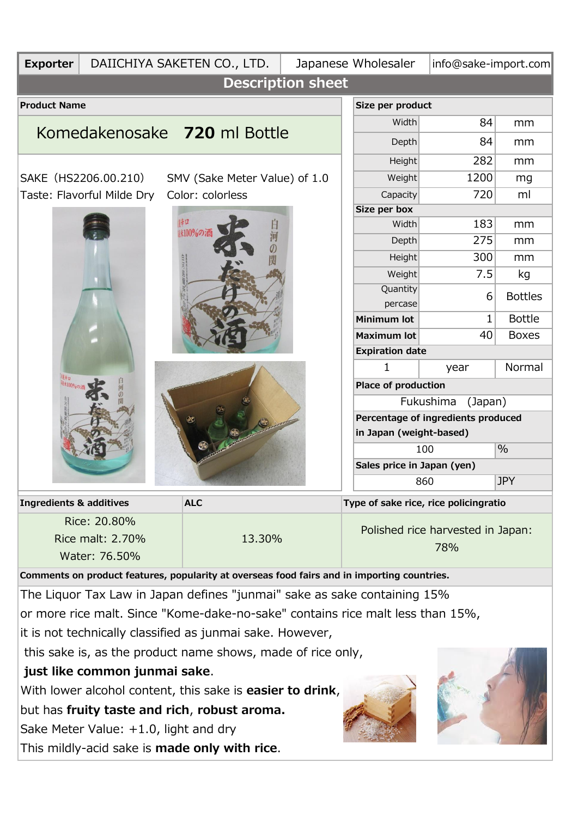| <b>Exporter</b>                                                                | DAIICHIYA SAKETEN CO., LTD.<br>Japanese Wholesaler |                                                                                             |                                                               |                                   |                                       | info@sake-import.com |                |  |  |  |
|--------------------------------------------------------------------------------|----------------------------------------------------|---------------------------------------------------------------------------------------------|---------------------------------------------------------------|-----------------------------------|---------------------------------------|----------------------|----------------|--|--|--|
| <b>Description sheet</b>                                                       |                                                    |                                                                                             |                                                               |                                   |                                       |                      |                |  |  |  |
| <b>Product Name</b>                                                            |                                                    |                                                                                             | Size per product                                              |                                   |                                       |                      |                |  |  |  |
|                                                                                | Komedakenosake 720 ml Bottle                       |                                                                                             | Width                                                         | 84                                | mm                                    |                      |                |  |  |  |
|                                                                                |                                                    |                                                                                             | Depth                                                         | 84                                | mm                                    |                      |                |  |  |  |
|                                                                                |                                                    |                                                                                             | <b>Height</b>                                                 | 282                               | mm                                    |                      |                |  |  |  |
| SAKE (HS2206.00.210)                                                           | SMV (Sake Meter Value) of 1.0                      |                                                                                             | Weight                                                        | 1200                              | mg                                    |                      |                |  |  |  |
|                                                                                | Color: colorless<br>Taste: Flavorful Milde Dry     |                                                                                             | Capacity                                                      | 720                               | ml                                    |                      |                |  |  |  |
|                                                                                |                                                    | Size per box<br>183                                                                         |                                                               |                                   |                                       |                      |                |  |  |  |
|                                                                                |                                                    | 100%の酒                                                                                      |                                                               |                                   | Width                                 | mm                   |                |  |  |  |
|                                                                                |                                                    |                                                                                             |                                                               |                                   | Depth<br><b>Height</b>                | 275<br>300           | mm<br>mm       |  |  |  |
|                                                                                |                                                    |                                                                                             |                                                               |                                   | Weight                                | 7.5                  | kg             |  |  |  |
|                                                                                |                                                    |                                                                                             |                                                               |                                   | Quantity                              |                      |                |  |  |  |
|                                                                                |                                                    |                                                                                             |                                                               |                                   | percase                               | 6                    | <b>Bottles</b> |  |  |  |
|                                                                                |                                                    |                                                                                             |                                                               |                                   | <b>Minimum lot</b>                    | 1                    | <b>Bottle</b>  |  |  |  |
|                                                                                |                                                    |                                                                                             |                                                               |                                   | <b>Maximum lot</b>                    | 40                   | <b>Boxes</b>   |  |  |  |
|                                                                                |                                                    |                                                                                             |                                                               |                                   | <b>Expiration date</b>                |                      |                |  |  |  |
|                                                                                |                                                    |                                                                                             |                                                               |                                   |                                       | year                 | Normal         |  |  |  |
|                                                                                |                                                    |                                                                                             |                                                               |                                   | Place of production                   |                      |                |  |  |  |
|                                                                                |                                                    |                                                                                             | Fukushima<br>(Japan)                                          |                                   |                                       |                      |                |  |  |  |
|                                                                                |                                                    |                                                                                             | Percentage of ingredients produced<br>in Japan (weight-based) |                                   |                                       |                      |                |  |  |  |
|                                                                                |                                                    |                                                                                             | $\frac{0}{0}$<br>100                                          |                                   |                                       |                      |                |  |  |  |
|                                                                                |                                                    |                                                                                             | Sales price in Japan (yen)                                    |                                   |                                       |                      |                |  |  |  |
|                                                                                |                                                    |                                                                                             |                                                               | <b>JPY</b><br>860                 |                                       |                      |                |  |  |  |
| <b>Ingredients &amp; additives</b><br><b>ALC</b>                               |                                                    |                                                                                             |                                                               |                                   | Type of sake rice, rice policingratio |                      |                |  |  |  |
|                                                                                | Rice: 20.80%                                       |                                                                                             |                                                               | Polished rice harvested in Japan: |                                       |                      |                |  |  |  |
|                                                                                | Rice malt: 2.70%                                   | 13.30%                                                                                      |                                                               | 78%                               |                                       |                      |                |  |  |  |
|                                                                                | Water: 76.50%                                      |                                                                                             |                                                               |                                   |                                       |                      |                |  |  |  |
|                                                                                |                                                    | Comments on product features, popularity at overseas food fairs and in importing countries. |                                                               |                                   |                                       |                      |                |  |  |  |
| The Liquor Tax Law in Japan defines "junmai" sake as sake containing 15%       |                                                    |                                                                                             |                                                               |                                   |                                       |                      |                |  |  |  |
| or more rice malt. Since "Kome-dake-no-sake" contains rice malt less than 15%, |                                                    |                                                                                             |                                                               |                                   |                                       |                      |                |  |  |  |
| it is not technically classified as junmai sake. However,                      |                                                    |                                                                                             |                                                               |                                   |                                       |                      |                |  |  |  |
| this sake is, as the product name shows, made of rice only,                    |                                                    |                                                                                             |                                                               |                                   |                                       |                      |                |  |  |  |
| just like common junmai sake.                                                  |                                                    |                                                                                             |                                                               |                                   |                                       |                      |                |  |  |  |
| With lower alcohol content, this sake is easier to drink,                      |                                                    |                                                                                             |                                                               |                                   |                                       |                      |                |  |  |  |
| but has fruity taste and rich, robust aroma.                                   |                                                    |                                                                                             |                                                               |                                   |                                       |                      |                |  |  |  |
| Sake Meter Value: +1.0, light and dry                                          |                                                    |                                                                                             |                                                               |                                   |                                       |                      |                |  |  |  |
|                                                                                |                                                    |                                                                                             |                                                               |                                   |                                       |                      |                |  |  |  |

This mildly-acid sake is **made only with rice**.